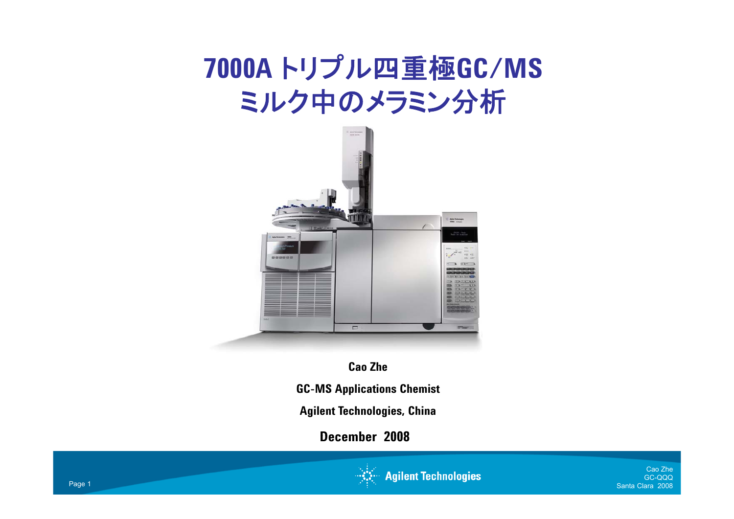# **7000A** トリプル四重極**GC/MS** ミルク中のメラミン分析



**Cao ZheGC-MS Applications Chemist**

**Agilent Technologies, China**

**December 2008**



Cao Zhe GC-QQQ Page 1 Santa Clara 2008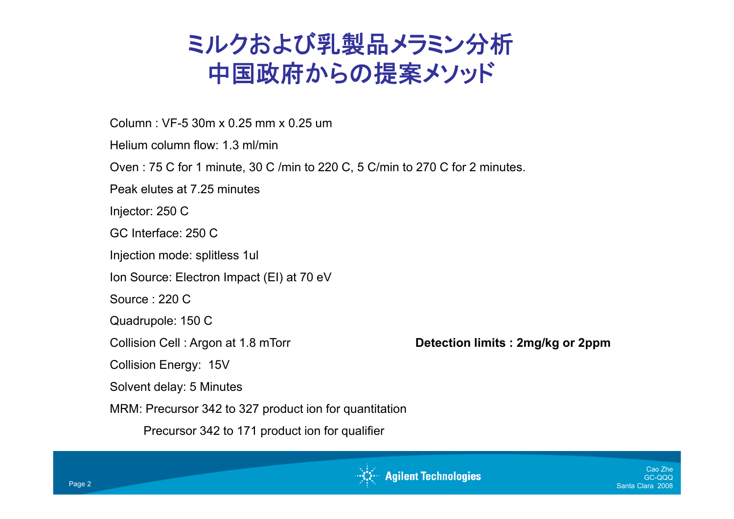# ミルクおよび乳製品メラミン分析 中国政府 からの提案 メソッド

Column : VF-5 30m x 0.25 mm x 0.25 um

Helium column flow: 1.3 ml/min 

Oven : 75 C for 1 minute, 30 C /min to 220 C, 5 C/min to 270 C for 2 minutes.

Peak elutes at 7.25 minutes

Injector: 250 C

GC Interface: 250 C

Injection mode: splitless 1ul

Ion Source: Electron Impact (EI) at 70 eV

Source : 220 C

Quadrupole: 150 C

Collision Cell : Argon at 1.8 mTorr **Detection limits : 2mg/kg or 2ppm**

Collision Energy: 15V

Solvent delay: 5 Minutes

MRM: Precursor 342 to 327 product ion for quantitation

Precursor 342 to 171 product ion for qualifier



Cao ZheGC-QQQ Page 2 Santa Clara 2008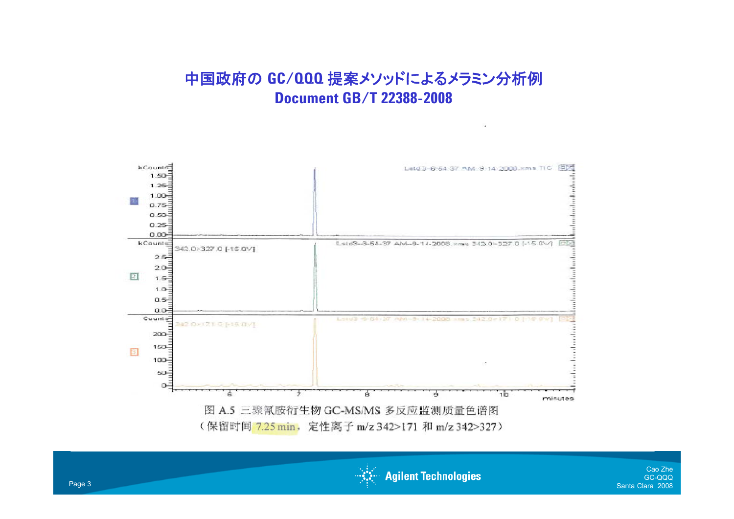#### 中国政府の GC/000 提案メソッドによるメラミン分析例 **Document GB/T 22388-2008**





Cao Zhe GC-QQQ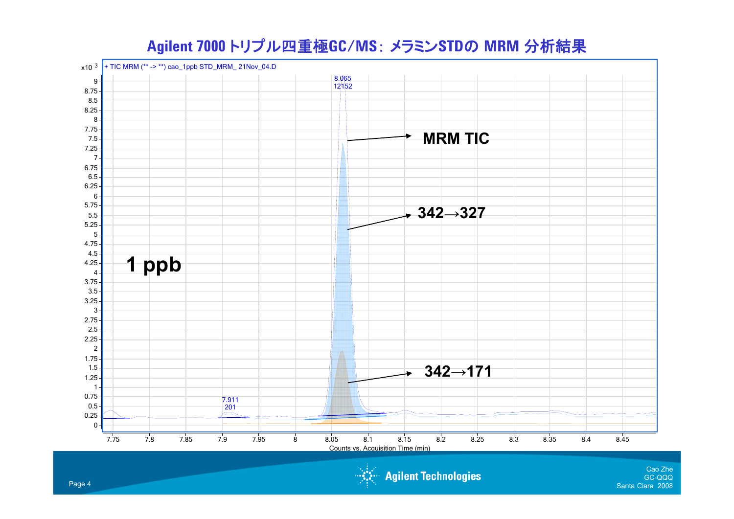

## **Agilent 7000** トリプル四重極**GC/MS**: メラミン**STD**の **MRM** 分析結果